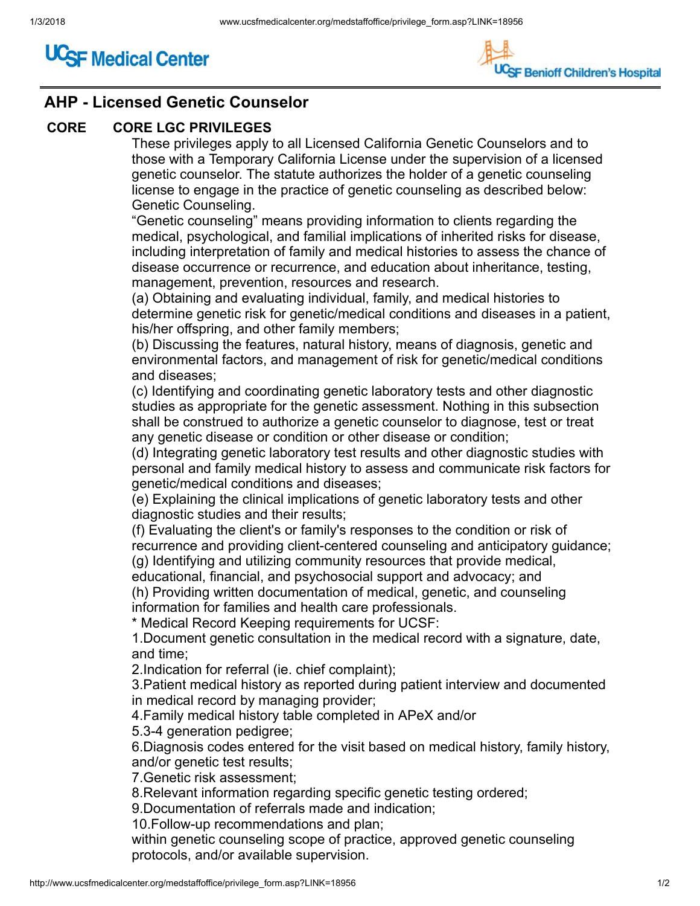



## AHP - Licensed Genetic Counselor

## CORE CORE LGC PRIVILEGES

These privileges apply to all Licensed California Genetic Counselors and to those with a Temporary California License under the supervision of a licensed genetic counselor. The statute authorizes the holder of a genetic counseling license to engage in the practice of genetic counseling as described below: Genetic Counseling.

"Genetic counseling" means providing information to clients regarding the medical, psychological, and familial implications of inherited risks for disease, including interpretation of family and medical histories to assess the chance of disease occurrence or recurrence, and education about inheritance, testing, management, prevention, resources and research.

(a) Obtaining and evaluating individual, family, and medical histories to determine genetic risk for genetic/medical conditions and diseases in a patient, his/her offspring, and other family members;

(b) Discussing the features, natural history, means of diagnosis, genetic and environmental factors, and management of risk for genetic/medical conditions and diseases;

(c) Identifying and coordinating genetic laboratory tests and other diagnostic studies as appropriate for the genetic assessment. Nothing in this subsection shall be construed to authorize a genetic counselor to diagnose, test or treat any genetic disease or condition or other disease or condition;

(d) Integrating genetic laboratory test results and other diagnostic studies with personal and family medical history to assess and communicate risk factors for genetic/medical conditions and diseases;

(e) Explaining the clinical implications of genetic laboratory tests and other diagnostic studies and their results;

(f) Evaluating the client's or family's responses to the condition or risk of recurrence and providing client-centered counseling and anticipatory guidance; (g) Identifying and utilizing community resources that provide medical,

educational, financial, and psychosocial support and advocacy; and

(h) Providing written documentation of medical, genetic, and counseling information for families and health care professionals.

\* Medical Record Keeping requirements for UCSF:

1.Document genetic consultation in the medical record with a signature, date, and time;

2.Indication for referral (ie. chief complaint);

3.Patient medical history as reported during patient interview and documented in medical record by managing provider;

4.Family medical history table completed in APeX and/or

5.3-4 generation pedigree;

6.Diagnosis codes entered for the visit based on medical history, family history, and/or genetic test results;

7.Genetic risk assessment;

8.Relevant information regarding specific genetic testing ordered;

9.Documentation of referrals made and indication;

10.Follow-up recommendations and plan;

within genetic counseling scope of practice, approved genetic counseling protocols, and/or available supervision.